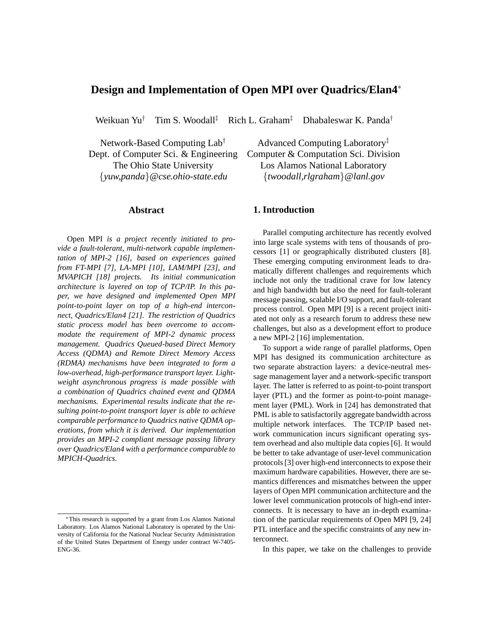# **Design and Implementation of Open MPI over Quadrics/Elan4**<sup>∗</sup>

Weikuan Yu<sup>†</sup> Tim S. Woodall<sup>‡</sup> Rich L. Graham<sup>‡</sup> Dhabaleswar K. Panda<sup>†</sup>

#### **Abstract**

Open MPI *is a project recently initiated to provide a fault-tolerant, multi-network capable implementation of MPI-2 [16], based on experiences gained from FT-MPI [7], LA-MPI [10], LAM/MPI [23], and MVAPICH [18] projects. Its initial communication architecture is layered on top of TCP/IP. In this paper, we have designed and implemented Open MPI point-to-point layer on top of a high-end interconnect, Quadrics/Elan4 [21]. The restriction of Quadrics static process model has been overcome to accommodate the requirement of MPI-2 dynamic process management. Quadrics Queued-based Direct Memory Access (QDMA) and Remote Direct Memory Access (RDMA) mechanisms have been integrated to form a low-overhead, high-performance transport layer. Lightweight asynchronous progress is made possible with a combination of Quadrics chained event and QDMA mechanisms. Experimental results indicate that the resulting point-to-point transport layer is able to achieve comparable performance to Quadrics native QDMA operations, from which it is derived. Our implementation provides an MPI-2 compliant message passing library over Quadrics/Elan4 with a performance comparable to MPICH-Quadrics.*

Network-Based Computing Lab<sup>†</sup> Advanced Computing Laboratory<sup>‡</sup> Dept. of Computer Sci. & Engineering Computer & Computation Sci. Division The Ohio State University Los Alamos National Laboratory {*yuw,panda*}*@cse.ohio-state.edu* {*twoodall,rlgraham*}*@lanl.gov*

#### **1. Introduction**

Parallel computing architecture has recently evolved into large scale systems with tens of thousands of processors [1] or geographically distributed clusters [8]. These emerging computing environment leads to dramatically different challenges and requirements which include not only the traditional crave for low latency and high bandwidth but also the need for fault-tolerant message passing, scalable I/O support, and fault-tolerant process control. Open MPI [9] is a recent project initiated not only as a research forum to address these new challenges, but also as a development effort to produce a new MPI-2 [16] implementation.

To support a wide range of parallel platforms, Open MPI has designed its communication architecture as two separate abstraction layers: a device-neutral message management layer and a network-specific transport layer. The latter is referred to as point-to-point transport layer (PTL) and the former as point-to-point management layer (PML). Work in [24] has demonstrated that PML is able to satisfactorily aggregate bandwidth across multiple network interfaces. The TCP/IP based network communication incurs significant operating system overhead and also multiple data copies [6]. It would be better to take advantage of user-level communication protocols [3] over high-end interconnects to expose their maximum hardware capabilities. However, there are semantics differences and mismatches between the upper layers of Open MPI communication architecture and the lower level communication protocols of high-end interconnects. It is necessary to have an in-depth examination of the particular requirements of Open MPI [9, 24] PTL interface and the specific constraints of any new interconnect.

In this paper, we take on the challenges to provide

<sup>∗</sup>This research is supported by a grant from Los Alamos National Laboratory. Los Alamos National Laboratory is operated by the University of California for the National Nuclear Security Administration of the United States Department of Energy under contract W-7405- ENG-36.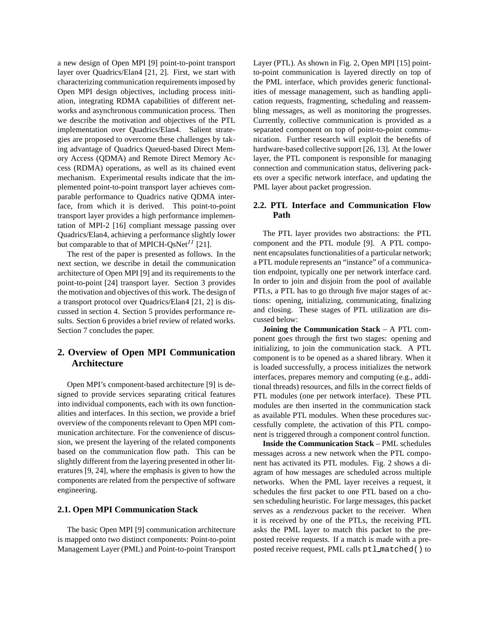a new design of Open MPI [9] point-to-point transport layer over Quadrics/Elan4 [21, 2]. First, we start with characterizing communication requirements imposed by Open MPI design objectives, including process initiation, integrating RDMA capabilities of different networks and asynchronous communication process. Then we describe the motivation and objectives of the PTL implementation over Quadrics/Elan4. Salient strategies are proposed to overcome these challenges by taking advantage of Quadrics Queued-based Direct Memory Access (QDMA) and Remote Direct Memory Access (RDMA) operations, as well as its chained event mechanism. Experimental results indicate that the implemented point-to-point transport layer achieves comparable performance to Quadrics native QDMA interface, from which it is derived. This point-to-point transport layer provides a high performance implementation of MPI-2 [16] compliant message passing over Quadrics/Elan4, achieving a performance slightly lower but comparable to that of MPICH-QsNet<sup>II</sup> [21].

The rest of the paper is presented as follows. In the next section, we describe in detail the communication architecture of Open MPI [9] and its requirements to the point-to-point [24] transport layer. Section 3 provides the motivation and objectives of this work. The design of a transport protocol over Quadrics/Elan4 [21, 2] is discussed in section 4. Section 5 provides performance results. Section 6 provides a brief review of related works. Section 7 concludes the paper.

## **2. Overview of Open MPI Communication Architecture**

Open MPI's component-based architecture [9] is designed to provide services separating critical features into individual components, each with its own functionalities and interfaces. In this section, we provide a brief overview of the components relevant to Open MPI communication architecture. For the convenience of discussion, we present the layering of the related components based on the communication flow path. This can be slightly different from the layering presented in other literatures [9, 24], where the emphasis is given to how the components are related from the perspective of software engineering.

#### **2.1. Open MPI Communication Stack**

The basic Open MPI [9] communication architecture is mapped onto two distinct components: Point-to-point Management Layer (PML) and Point-to-point Transport

Layer (PTL). As shown in Fig. 2, Open MPI [15] pointto-point communication is layered directly on top of the PML interface, which provides generic functionalities of message management, such as handling application requests, fragmenting, scheduling and reassembling messages, as well as monitoring the progresses. Currently, collective communication is provided as a separated component on top of point-to-point communication. Further research will exploit the benefits of hardware-based collective support [26, 13]. At the lower layer, the PTL component is responsible for managing connection and communication status, delivering packets over a specific network interface, and updating the PML layer about packet progression.

#### **2.2. PTL Interface and Communication Flow Path**

The PTL layer provides two abstractions: the PTL component and the PTL module [9]. A PTL component encapsulates functionalities of a particular network; a PTL module represents an "instance" of a communication endpoint, typically one per network interface card. In order to join and disjoin from the pool of available PTLs, a PTL has to go through five major stages of actions: opening, initializing, communicating, finalizing and closing. These stages of PTL utilization are discussed below:

**Joining the Communication Stack** – A PTL component goes through the first two stages: opening and initializing, to join the communication stack. A PTL component is to be opened as a shared library. When it is loaded successfully, a process initializes the network interfaces, prepares memory and computing (e.g., additional threads) resources, and fills in the correct fields of PTL modules (one per network interface). These PTL modules are then inserted in the communication stack as available PTL modules. When these procedures successfully complete, the activation of this PTL component is triggered through a component control function.

**Inside the Communication Stack** – PML schedules messages across a new network when the PTL component has activated its PTL modules. Fig. 2 shows a diagram of how messages are scheduled across multiple networks. When the PML layer receives a request, it schedules the first packet to one PTL based on a chosen scheduling heuristic. For large messages, this packet serves as a *rendezvous* packet to the receiver. When it is received by one of the PTLs, the receiving PTL asks the PML layer to match this packet to the preposted receive requests. If a match is made with a preposted receive request, PML calls ptl matched() to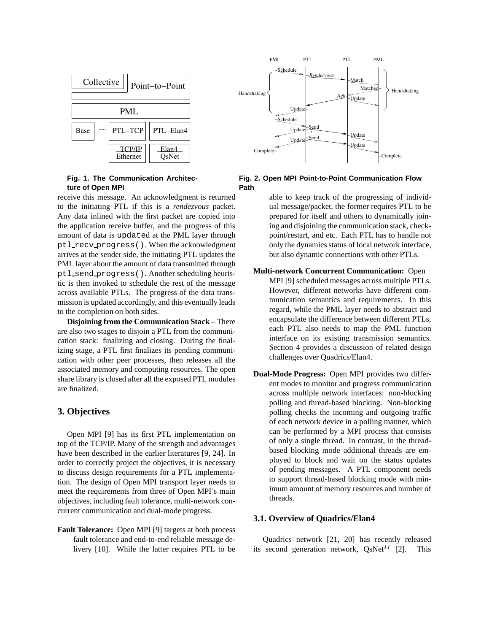

#### **Fig. 1. The Communication Architecture of Open MPI**

receive this message. An acknowledgment is returned to the initiating PTL if this is a *rendezvous* packet. Any data inlined with the first packet are copied into the application receive buffer, and the progress of this amount of data is updated at the PML layer through ptl recv progress(). When the acknowledgment arrives at the sender side, the initiating PTL updates the PML layer about the amount of data transmitted through ptl send progress(). Another scheduling heuristic is then invoked to schedule the rest of the message across available PTLs. The progress of the data transmission is updated accordingly, and this eventually leads to the completion on both sides.

**Disjoining from the Communication Stack** – There are also two stages to disjoin a PTL from the communication stack: finalizing and closing. During the finalizing stage, a PTL first finalizes its pending communication with other peer processes, then releases all the associated memory and computing resources. The open share library is closed after all the exposed PTL modules are finalized.

## **3. Objectives**

Open MPI [9] has its first PTL implementation on top of the TCP/IP. Many of the strength and advantages have been described in the earlier literatures [9, 24]. In order to correctly project the objectives, it is necessary to discuss design requirements for a PTL implementation. The design of Open MPI transport layer needs to meet the requirements from three of Open MPI's main objectives, including fault tolerance, multi-network concurrent communication and dual-mode progress.

**Fault Tolerance:** Open MPI [9] targets at both process fault tolerance and end-to-end reliable message delivery [10]. While the latter requires PTL to be



**Fig. 2. Open MPI Point-to-Point Communication Flow Path**

able to keep track of the progressing of individual message/packet, the former requires PTL to be prepared for itself and others to dynamically joining and disjoining the communication stack, checkpoint/restart, and etc. Each PTL has to handle not only the dynamics status of local network interface, but also dynamic connections with other PTLs.

- **Multi-network Concurrent Communication:** Open MPI [9] scheduled messages across multiple PTLs. However, different networks have different communication semantics and requirements. In this regard, while the PML layer needs to abstract and encapsulate the difference between different PTLs, each PTL also needs to map the PML function interface on its existing transmission semantics. Section 4 provides a discussion of related design challenges over Quadrics/Elan4.
- **Dual-Mode Progress:** Open MPI provides two different modes to monitor and progress communication across multiple network interfaces: non-blocking polling and thread-based blocking. Non-blocking polling checks the incoming and outgoing traffic of each network device in a polling manner, which can be performed by a MPI process that consists of only a single thread. In contrast, in the threadbased blocking mode additional threads are employed to block and wait on the status updates of pending messages. A PTL component needs to support thread-based blocking mode with minimum amount of memory resources and number of threads.

#### **3.1. Overview of Quadrics/Elan4**

Quadrics network [21, 20] has recently released its second generation network,  $QsNet^{II}$  [2]. This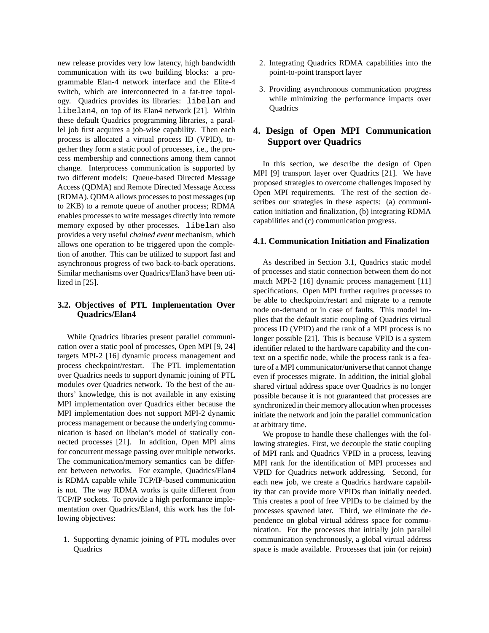new release provides very low latency, high bandwidth communication with its two building blocks: a programmable Elan-4 network interface and the Elite-4 switch, which are interconnected in a fat-tree topology. Quadrics provides its libraries: libelan and libelan4, on top of its Elan4 network [21]. Within these default Quadrics programming libraries, a parallel job first acquires a job-wise capability. Then each process is allocated a virtual process ID (VPID), together they form a static pool of processes, i.e., the process membership and connections among them cannot change. Interprocess communication is supported by two different models: Queue-based Directed Message Access (QDMA) and Remote Directed Message Access (RDMA). QDMA allows processes to post messages (up to 2KB) to a remote queue of another process; RDMA enables processes to write messages directly into remote memory exposed by other processes. libelan also provides a very useful *chained event* mechanism, which allows one operation to be triggered upon the completion of another. This can be utilized to support fast and asynchronous progress of two back-to-back operations. Similar mechanisms over Quadrics/Elan3 have been utilized in [25].

### **3.2. Objectives of PTL Implementation Over Quadrics/Elan4**

While Quadrics libraries present parallel communication over a static pool of processes, Open MPI [9, 24] targets MPI-2 [16] dynamic process management and process checkpoint/restart. The PTL implementation over Quadrics needs to support dynamic joining of PTL modules over Quadrics network. To the best of the authors' knowledge, this is not available in any existing MPI implementation over Quadrics either because the MPI implementation does not support MPI-2 dynamic process management or because the underlying communication is based on libelan's model of statically connected processes [21]. In addition, Open MPI aims for concurrent message passing over multiple networks. The communication/memory semantics can be different between networks. For example, Quadrics/Elan4 is RDMA capable while TCP/IP-based communication is not. The way RDMA works is quite different from TCP/IP sockets. To provide a high performance implementation over Quadrics/Elan4, this work has the following objectives:

1. Supporting dynamic joining of PTL modules over **Quadrics** 

- 2. Integrating Quadrics RDMA capabilities into the point-to-point transport layer
- 3. Providing asynchronous communication progress while minimizing the performance impacts over **Quadrics**

## **4. Design of Open MPI Communication Support over Quadrics**

In this section, we describe the design of Open MPI [9] transport layer over Quadrics [21]. We have proposed strategies to overcome challenges imposed by Open MPI requirements. The rest of the section describes our strategies in these aspects: (a) communication initiation and finalization, (b) integrating RDMA capabilities and (c) communication progress.

#### **4.1. Communication Initiation and Finalization**

As described in Section 3.1, Quadrics static model of processes and static connection between them do not match MPI-2 [16] dynamic process management [11] specifications. Open MPI further requires processes to be able to checkpoint/restart and migrate to a remote node on-demand or in case of faults. This model implies that the default static coupling of Quadrics virtual process ID (VPID) and the rank of a MPI process is no longer possible [21]. This is because VPID is a system identifier related to the hardware capability and the context on a specific node, while the process rank is a feature of a MPI communicator/universe that cannot change even if processes migrate. In addition, the initial global shared virtual address space over Quadrics is no longer possible because it is not guaranteed that processes are synchronized in their memory allocation when processes initiate the network and join the parallel communication at arbitrary time.

We propose to handle these challenges with the following strategies. First, we decouple the static coupling of MPI rank and Quadrics VPID in a process, leaving MPI rank for the identification of MPI processes and VPID for Quadrics network addressing. Second, for each new job, we create a Quadrics hardware capability that can provide more VPIDs than initially needed. This creates a pool of free VPIDs to be claimed by the processes spawned later. Third, we eliminate the dependence on global virtual address space for communication. For the processes that initially join parallel communication synchronously, a global virtual address space is made available. Processes that join (or rejoin)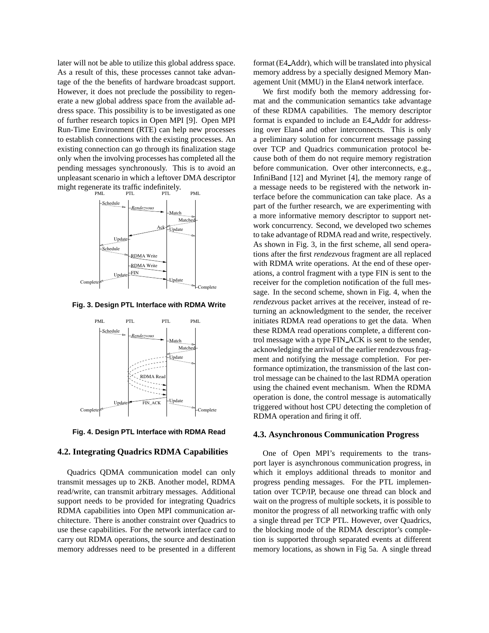later will not be able to utilize this global address space. As a result of this, these processes cannot take advantage of the the benefits of hardware broadcast support. However, it does not preclude the possibility to regenerate a new global address space from the available address space. This possibility is to be investigated as one of further research topics in Open MPI [9]. Open MPI Run-Time Environment (RTE) can help new processes to establish connections with the existing processes. An existing connection can go through its finalization stage only when the involving processes has completed all the pending messages synchronously. This is to avoid an unpleasant scenario in which a leftover DMA descriptor might regenerate its traffic indefinitely.<br> $_{\text{PTL}}^{\text{PTL}}$ 



**Fig. 3. Design PTL Interface with RDMA Write**



**Fig. 4. Design PTL Interface with RDMA Read**

#### **4.2. Integrating Quadrics RDMA Capabilities**

Quadrics QDMA communication model can only transmit messages up to 2KB. Another model, RDMA read/write, can transmit arbitrary messages. Additional support needs to be provided for integrating Quadrics RDMA capabilities into Open MPI communication architecture. There is another constraint over Quadrics to use these capabilities. For the network interface card to carry out RDMA operations, the source and destination memory addresses need to be presented in a different format (E4 Addr), which will be translated into physical memory address by a specially designed Memory Management Unit (MMU) in the Elan4 network interface.

We first modify both the memory addressing format and the communication semantics take advantage of these RDMA capabilities. The memory descriptor format is expanded to include an E4 Addr for addressing over Elan4 and other interconnects. This is only a preliminary solution for concurrent message passing over TCP and Quadrics communication protocol because both of them do not require memory registration before communication. Over other interconnects, e.g., InfiniBand [12] and Myrinet [4], the memory range of a message needs to be registered with the network interface before the communication can take place. As a part of the further research, we are experimenting with a more informative memory descriptor to support network concurrency. Second, we developed two schemes to take advantage of RDMA read and write, respectively. As shown in Fig. 3, in the first scheme, all send operations after the first *rendezvous* fragment are all replaced with RDMA write operations. At the end of these operations, a control fragment with a type FIN is sent to the receiver for the completion notification of the full message. In the second scheme, shown in Fig. 4, when the *rendezvous* packet arrives at the receiver, instead of returning an acknowledgment to the sender, the receiver initiates RDMA read operations to get the data. When these RDMA read operations complete, a different control message with a type FIN ACK is sent to the sender, acknowledging the arrival of the earlier rendezvous fragment and notifying the message completion. For performance optimization, the transmission of the last control message can be chained to the last RDMA operation using the chained event mechanism. When the RDMA operation is done, the control message is automatically triggered without host CPU detecting the completion of RDMA operation and firing it off.

#### **4.3. Asynchronous Communication Progress**

One of Open MPI's requirements to the transport layer is asynchronous communication progress, in which it employs additional threads to monitor and progress pending messages. For the PTL implementation over TCP/IP, because one thread can block and wait on the progress of multiple sockets, it is possible to monitor the progress of all networking traffic with only a single thread per TCP PTL. However, over Quadrics, the blocking mode of the RDMA descriptor's completion is supported through separated events at different memory locations, as shown in Fig 5a. A single thread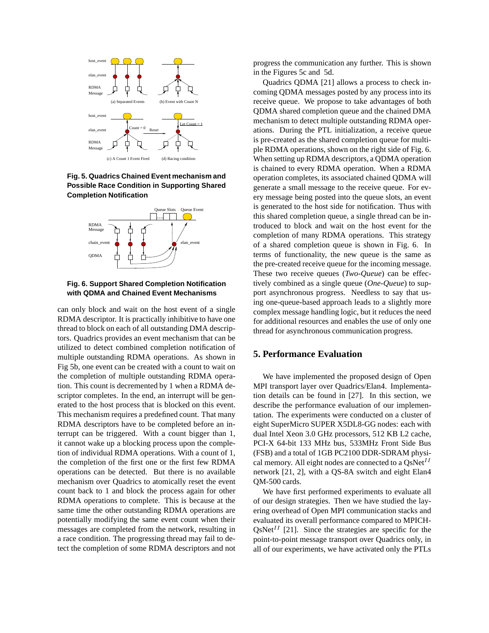

**Fig. 5. Quadrics Chained Event mechanism and Possible Race Condition in Supporting Shared Completion Notification**



#### **Fig. 6. Support Shared Completion Notification with QDMA and Chained Event Mechanisms**

can only block and wait on the host event of a single RDMA descriptor. It is practically inhibitive to have one thread to block on each of all outstanding DMA descriptors. Quadrics provides an event mechanism that can be utilized to detect combined completion notification of multiple outstanding RDMA operations. As shown in Fig 5b, one event can be created with a count to wait on the completion of multiple outstanding RDMA operation. This count is decremented by 1 when a RDMA descriptor completes. In the end, an interrupt will be generated to the host process that is blocked on this event. This mechanism requires a predefined count. That many RDMA descriptors have to be completed before an interrupt can be triggered. With a count bigger than 1, it cannot wake up a blocking process upon the completion of individual RDMA operations. With a count of 1, the completion of the first one or the first few RDMA operations can be detected. But there is no available mechanism over Quadrics to atomically reset the event count back to 1 and block the process again for other RDMA operations to complete. This is because at the same time the other outstanding RDMA operations are potentially modifying the same event count when their messages are completed from the network, resulting in a race condition. The progressing thread may fail to detect the completion of some RDMA descriptors and not progress the communication any further. This is shown in the Figures 5c and 5d.

Quadrics QDMA [21] allows a process to check incoming QDMA messages posted by any process into its receive queue. We propose to take advantages of both QDMA shared completion queue and the chained DMA mechanism to detect multiple outstanding RDMA operations. During the PTL initialization, a receive queue is pre-created as the shared completion queue for multiple RDMA operations, shown on the right side of Fig. 6. When setting up RDMA descriptors, a QDMA operation is chained to every RDMA operation. When a RDMA operation completes, its associated chained QDMA will generate a small message to the receive queue. For every message being posted into the queue slots, an event is generated to the host side for notification. Thus with this shared completion queue, a single thread can be introduced to block and wait on the host event for the completion of many RDMA operations. This strategy of a shared completion queue is shown in Fig. 6. In terms of functionality, the new queue is the same as the pre-created receive queue for the incoming message. These two receive queues (*Two-Queue*) can be effectively combined as a single queue (*One-Queue*) to support asynchronous progress. Needless to say that using one-queue-based approach leads to a slightly more complex message handling logic, but it reduces the need for additional resources and enables the use of only one thread for asynchronous communication progress.

#### **5. Performance Evaluation**

We have implemented the proposed design of Open MPI transport layer over Quadrics/Elan4. Implementation details can be found in [27]. In this section, we describe the performance evaluation of our implementation. The experiments were conducted on a cluster of eight SuperMicro SUPER X5DL8-GG nodes: each with dual Intel Xeon 3.0 GHz processors, 512 KB L2 cache, PCI-X 64-bit 133 MHz bus, 533MHz Front Side Bus (FSB) and a total of 1GB PC2100 DDR-SDRAM physical memory. All eight nodes are connected to a  $QsNet^{II}$ network [21, 2], with a QS-8A switch and eight Elan4 QM-500 cards.

We have first performed experiments to evaluate all of our design strategies. Then we have studied the layering overhead of Open MPI communication stacks and evaluated its overall performance compared to MPICH- $\text{OsNet}^{II}$  [21]. Since the strategies are specific for the point-to-point message transport over Quadrics only, in all of our experiments, we have activated only the PTLs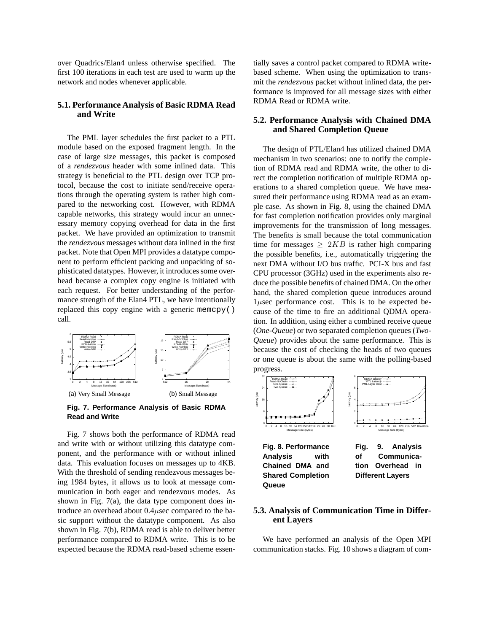over Quadrics/Elan4 unless otherwise specified. The first 100 iterations in each test are used to warm up the network and nodes whenever applicable.

#### **5.1. Performance Analysis of Basic RDMA Read and Write**

The PML layer schedules the first packet to a PTL module based on the exposed fragment length. In the case of large size messages, this packet is composed of a *rendezvous* header with some inlined data. This strategy is beneficial to the PTL design over TCP protocol, because the cost to initiate send/receive operations through the operating system is rather high compared to the networking cost. However, with RDMA capable networks, this strategy would incur an unnecessary memory copying overhead for data in the first packet. We have provided an optimization to transmit the *rendezvous* messages without data inlined in the first packet. Note that Open MPI provides a datatype component to perform efficient packing and unpacking of sophisticated datatypes. However, it introduces some overhead because a complex copy engine is initiated with each request. For better understanding of the performance strength of the Elan4 PTL, we have intentionally replaced this copy engine with a generic memcpy() call.



**Fig. 7. Performance Analysis of Basic RDMA Read and Write**

Fig. 7 shows both the performance of RDMA read and write with or without utilizing this datatype component, and the performance with or without inlined data. This evaluation focuses on messages up to 4KB. With the threshold of sending rendezvous messages being 1984 bytes, it allows us to look at message communication in both eager and rendezvous modes. As shown in Fig. 7(a), the data type component does introduce an overhead about 0.4µsec compared to the basic support without the datatype component. As also shown in Fig. 7(b), RDMA read is able to deliver better performance compared to RDMA write. This is to be expected because the RDMA read-based scheme essentially saves a control packet compared to RDMA writebased scheme. When using the optimization to transmit the *rendezvous* packet without inlined data, the performance is improved for all message sizes with either RDMA Read or RDMA write.

#### **5.2. Performance Analysis with Chained DMA and Shared Completion Queue**

The design of PTL/Elan4 has utilized chained DMA mechanism in two scenarios: one to notify the completion of RDMA read and RDMA write, the other to direct the completion notification of multiple RDMA operations to a shared completion queue. We have measured their performance using RDMA read as an example case. As shown in Fig. 8, using the chained DMA for fast completion notification provides only marginal improvements for the transmission of long messages. The benefits is small because the total communication time for messages  $> 2KB$  is rather high comparing the possible benefits, i.e., automatically triggering the next DMA without I/O bus traffic. PCI-X bus and fast CPU processor (3GHz) used in the experiments also reduce the possible benefits of chained DMA. On the other hand, the shared completion queue introduces around  $1\mu$ sec performance cost. This is to be expected because of the time to fire an additional QDMA operation. In addition, using either a combined receive queue (*One-Queue*) or two separated completion queues (*Two-Queue*) provides about the same performance. This is because the cost of checking the heads of two queues or one queue is about the same with the polling-based progress.



## **5.3. Analysis of Communication Time in Different Layers**

We have performed an analysis of the Open MPI communication stacks. Fig. 10 shows a diagram of com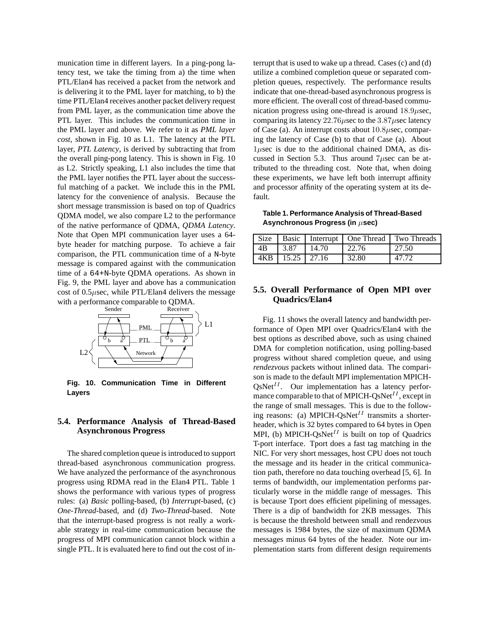munication time in different layers. In a ping-pong latency test, we take the timing from a) the time when PTL/Elan4 has received a packet from the network and is delivering it to the PML layer for matching, to b) the time PTL/Elan4 receives another packet delivery request from PML layer, as the communication time above the PTL layer. This includes the communication time in the PML layer and above. We refer to it as *PML layer cost*, shown in Fig. 10 as L1. The latency at the PTL layer, *PTL Latency*, is derived by subtracting that from the overall ping-pong latency. This is shown in Fig. 10 as L2. Strictly speaking, L1 also includes the time that the PML layer notifies the PTL layer about the successful matching of a packet. We include this in the PML latency for the convenience of analysis. Because the short message transmission is based on top of Quadrics QDMA model, we also compare L2 to the performance of the native performance of QDMA, *QDMA Latency*. Note that Open MPI communication layer uses a 64 byte header for matching purpose. To achieve a fair comparison, the PTL communication time of a N-byte message is compared against with the communication time of a 64+N-byte QDMA operations. As shown in Fig. 9, the PML layer and above has a communication cost of  $0.5\mu$ sec, while PTL/Elan4 delivers the message with a performance comparable to QDMA.



**Fig. 10. Communication Time in Different Layers**

### **5.4. Performance Analysis of Thread-Based Asynchronous Progress**

The shared completion queue is introduced to support thread-based asynchronous communication progress. We have analyzed the performance of the asynchronous progress using RDMA read in the Elan4 PTL. Table 1 shows the performance with various types of progress rules: (a) *Basic* polling-based, (b) *Interrupt*-based, (c) *One-Thread*-based, and (d) *Two-Thread*-based. Note that the interrupt-based progress is not really a workable strategy in real-time communication because the progress of MPI communication cannot block within a single PTL. It is evaluated here to find out the cost of interrupt that is used to wake up a thread. Cases (c) and (d) utilize a combined completion queue or separated completion queues, respectively. The performance results indicate that one-thread-based asynchronous progress is more efficient. The overall cost of thread-based communication progress using one-thread is around  $18.9\mu$ sec, comparing its latency  $22.76\mu$ sec to the  $3.87\mu$ sec latency of Case (a). An interrupt costs about  $10.8\mu$ sec, comparing the latency of Case (b) to that of Case (a). About  $1\mu$ sec is due to the additional chained DMA, as discussed in Section 5.3. Thus around  $7\mu$ sec can be attributed to the threading cost. Note that, when doing these experiments, we have left both interrupt affinity and processor affinity of the operating system at its default.

**Table 1. Performance Analysis of Thread-Based Asynchronous Progress (in** µ**sec)**

|                 |                   |              |        | Size Basic Interrupt   One Thread   Two Threads |
|-----------------|-------------------|--------------|--------|-------------------------------------------------|
| $\overline{AB}$ |                   | $3.87$ 14.70 | 122.76 | 27.50                                           |
|                 | $4KB$ 15.25 27.16 |              | 32.80  | 47.72                                           |

### **5.5. Overall Performance of Open MPI over Quadrics/Elan4**

Fig. 11 shows the overall latency and bandwidth performance of Open MPI over Quadrics/Elan4 with the best options as described above, such as using chained DMA for completion notification, using polling-based progress without shared completion queue, and using *rendezvous* packets without inlined data. The comparison is made to the default MPI implementation MPICH- $QsNet<sup>II</sup>$ . Our implementation has a latency performance comparable to that of MPICH-QsNet<sup>II</sup>, except in the range of small messages. This is due to the following reasons: (a) MPICH-QsNet<sup>II</sup> transmits a shorterheader, which is 32 bytes compared to 64 bytes in Open MPI, (b) MPICH-QsNet<sup>II</sup> is built on top of Quadrics T-port interface. Tport does a fast tag matching in the NIC. For very short messages, host CPU does not touch the message and its header in the critical communication path, therefore no data touching overhead [5, 6]. In terms of bandwidth, our implementation performs particularly worse in the middle range of messages. This is because Tport does efficient pipelining of messages. There is a dip of bandwidth for 2KB messages. This is because the threshold between small and rendezvous messages is 1984 bytes, the size of maximum QDMA messages minus 64 bytes of the header. Note our implementation starts from different design requirements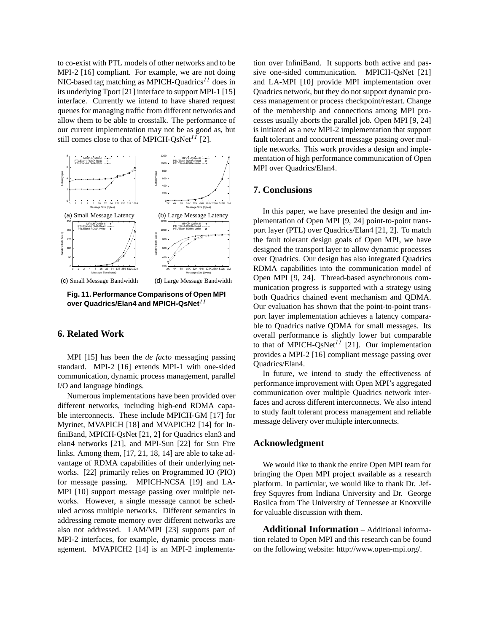to co-exist with PTL models of other networks and to be MPI-2 [16] compliant. For example, we are not doing NIC-based tag matching as MPICH-Quadrics<sup>II</sup> does in its underlying Tport [21] interface to support MPI-1 [15] interface. Currently we intend to have shared request queues for managing traffic from different networks and allow them to be able to crosstalk. The performance of our current implementation may not be as good as, but still comes close to that of MPICH-QsNet<sup>II</sup> [2].



**Fig. 11. Performance Comparisons of Open MPI over Quadrics/Elan4 and MPICH-QsNet**<sup>II</sup>

## **6. Related Work**

MPI [15] has been the *de facto* messaging passing standard. MPI-2 [16] extends MPI-1 with one-sided communication, dynamic process management, parallel I/O and language bindings.

Numerous implementations have been provided over different networks, including high-end RDMA capable interconnects. These include MPICH-GM [17] for Myrinet, MVAPICH [18] and MVAPICH2 [14] for InfiniBand, MPICH-QsNet [21, 2] for Quadrics elan3 and elan4 networks [21], and MPI-Sun [22] for Sun Fire links. Among them, [17, 21, 18, 14] are able to take advantage of RDMA capabilities of their underlying networks. [22] primarily relies on Programmed IO (PIO) for message passing. MPICH-NCSA [19] and LA-MPI [10] support message passing over multiple networks. However, a single message cannot be scheduled across multiple networks. Different semantics in addressing remote memory over different networks are also not addressed. LAM/MPI [23] supports part of MPI-2 interfaces, for example, dynamic process management. MVAPICH2 [14] is an MPI-2 implementation over InfiniBand. It supports both active and passive one-sided communication. MPICH-QsNet [21] and LA-MPI [10] provide MPI implementation over Quadrics network, but they do not support dynamic process management or process checkpoint/restart. Change of the membership and connections among MPI processes usually aborts the parallel job. Open MPI [9, 24] is initiated as a new MPI-2 implementation that support fault tolerant and concurrent message passing over multiple networks. This work provides a design and implementation of high performance communication of Open MPI over Quadrics/Elan4.

#### **7. Conclusions**

In this paper, we have presented the design and implementation of Open MPI [9, 24] point-to-point transport layer (PTL) over Quadrics/Elan4 [21, 2]. To match the fault tolerant design goals of Open MPI, we have designed the transport layer to allow dynamic processes over Quadrics. Our design has also integrated Quadrics RDMA capabilities into the communication model of Open MPI [9, 24]. Thread-based asynchronous communication progress is supported with a strategy using both Quadrics chained event mechanism and QDMA. Our evaluation has shown that the point-to-point transport layer implementation achieves a latency comparable to Quadrics native QDMA for small messages. Its overall performance is slightly lower but comparable to that of MPICH-QsNet<sup>II</sup> [21]. Our implementation provides a MPI-2 [16] compliant message passing over Quadrics/Elan4.

In future, we intend to study the effectiveness of performance improvement with Open MPI's aggregated communication over multiple Quadrics network interfaces and across different interconnects. We also intend to study fault tolerant process management and reliable message delivery over multiple interconnects.

#### **Acknowledgment**

We would like to thank the entire Open MPI team for bringing the Open MPI project available as a research platform. In particular, we would like to thank Dr. Jeffrey Squyres from Indiana University and Dr. George Bosilca from The University of Tennessee at Knoxville for valuable discussion with them.

**Additional Information** – Additional information related to Open MPI and this research can be found on the following website: http://www.open-mpi.org/.